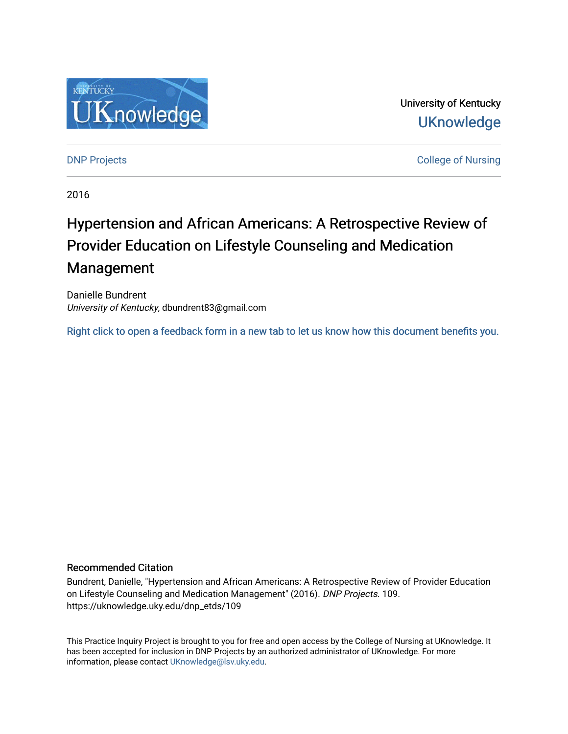

University of Kentucky **UKnowledge** 

[DNP Projects](https://uknowledge.uky.edu/dnp_etds) **College of Nursing** 

2016

# Hypertension and African Americans: A Retrospective Review of Provider Education on Lifestyle Counseling and Medication Management

Danielle Bundrent University of Kentucky, dbundrent83@gmail.com

[Right click to open a feedback form in a new tab to let us know how this document benefits you.](https://uky.az1.qualtrics.com/jfe/form/SV_9mq8fx2GnONRfz7)

#### Recommended Citation

Bundrent, Danielle, "Hypertension and African Americans: A Retrospective Review of Provider Education on Lifestyle Counseling and Medication Management" (2016). DNP Projects. 109. https://uknowledge.uky.edu/dnp\_etds/109

This Practice Inquiry Project is brought to you for free and open access by the College of Nursing at UKnowledge. It has been accepted for inclusion in DNP Projects by an authorized administrator of UKnowledge. For more information, please contact [UKnowledge@lsv.uky.edu](mailto:UKnowledge@lsv.uky.edu).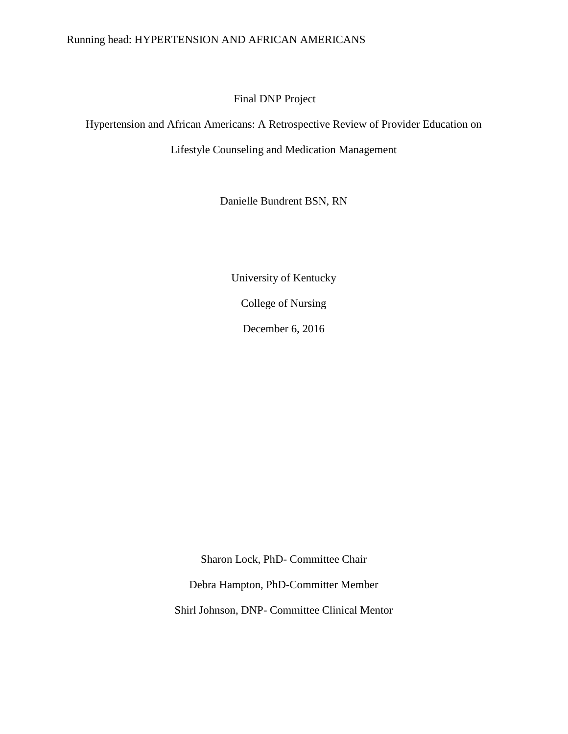# Running head: HYPERTENSION AND AFRICAN AMERICANS

# Final DNP Project

Hypertension and African Americans: A Retrospective Review of Provider Education on

Lifestyle Counseling and Medication Management

Danielle Bundrent BSN, RN

University of Kentucky

College of Nursing

December 6, 2016

Sharon Lock, PhD- Committee Chair

Debra Hampton, PhD-Committer Member

Shirl Johnson, DNP- Committee Clinical Mentor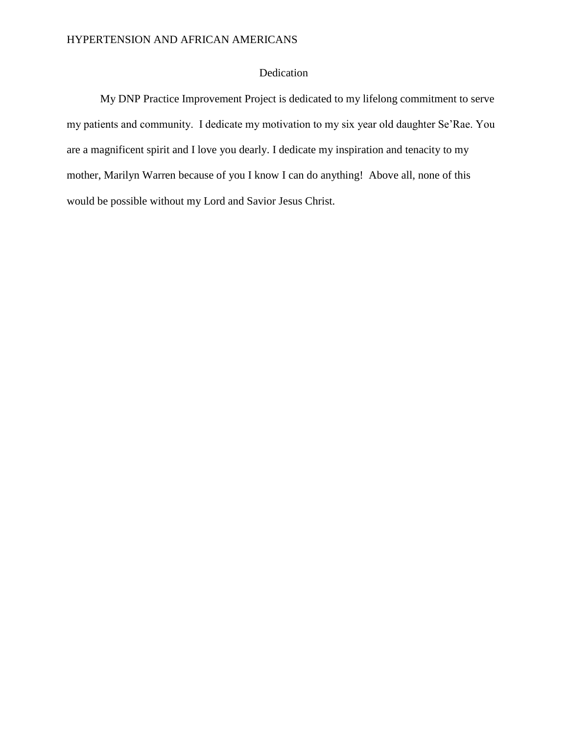# Dedication

My DNP Practice Improvement Project is dedicated to my lifelong commitment to serve my patients and community. I dedicate my motivation to my six year old daughter Se'Rae. You are a magnificent spirit and I love you dearly. I dedicate my inspiration and tenacity to my mother, Marilyn Warren because of you I know I can do anything! Above all, none of this would be possible without my Lord and Savior Jesus Christ.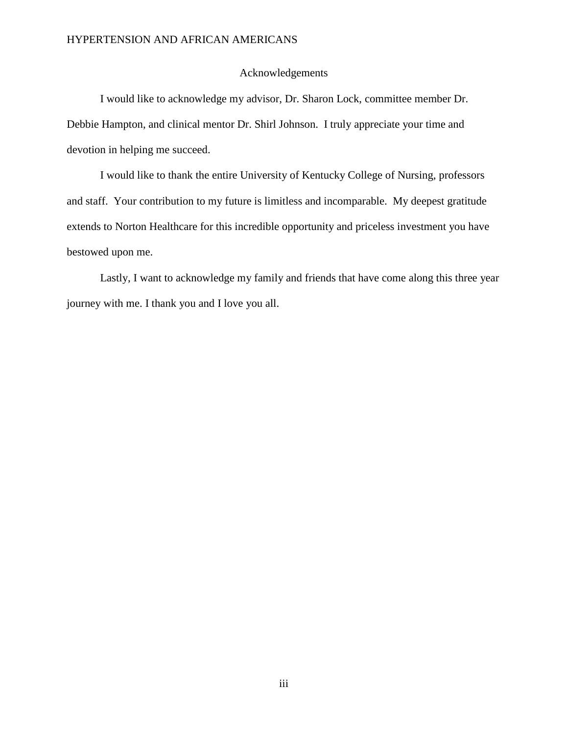#### Acknowledgements

I would like to acknowledge my advisor, Dr. Sharon Lock, committee member Dr. Debbie Hampton, and clinical mentor Dr. Shirl Johnson. I truly appreciate your time and devotion in helping me succeed.

I would like to thank the entire University of Kentucky College of Nursing, professors and staff. Your contribution to my future is limitless and incomparable. My deepest gratitude extends to Norton Healthcare for this incredible opportunity and priceless investment you have bestowed upon me.

Lastly, I want to acknowledge my family and friends that have come along this three year journey with me. I thank you and I love you all.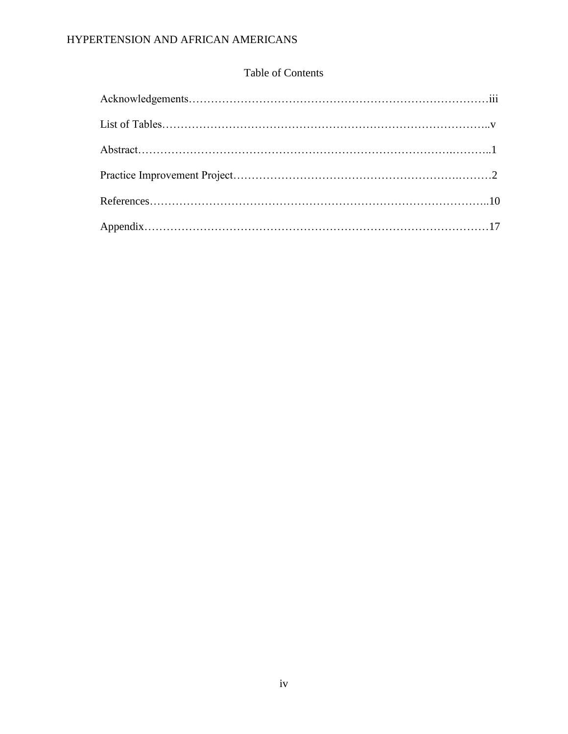# HYPERTENSION AND AFRICAN AMERICANS

# Table of Contents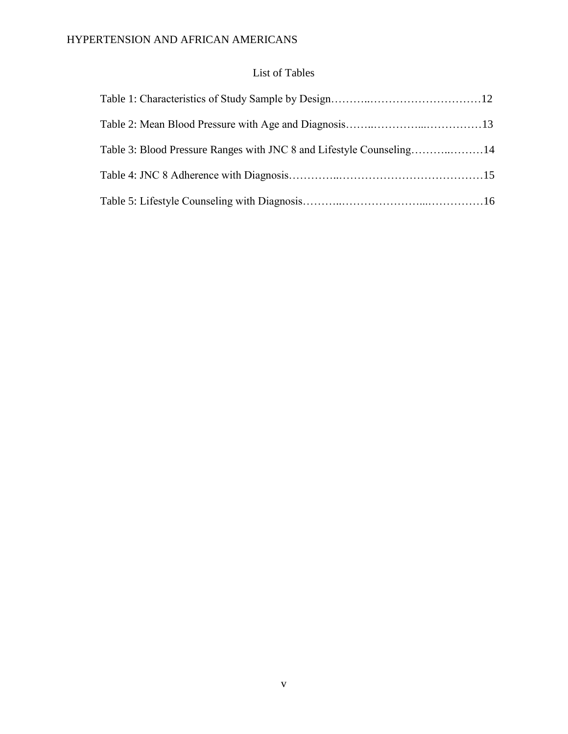# List of Tables

| Table 3: Blood Pressure Ranges with JNC 8 and Lifestyle Counseling14 |  |
|----------------------------------------------------------------------|--|
|                                                                      |  |
|                                                                      |  |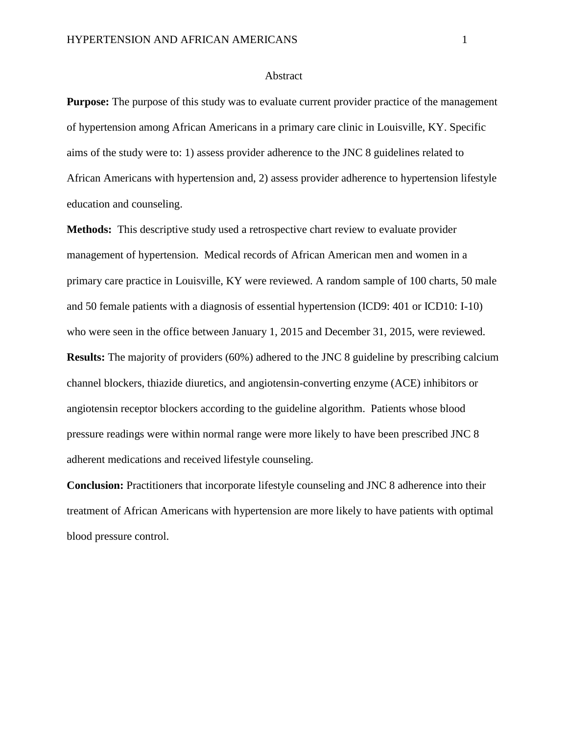#### Abstract

**Purpose:** The purpose of this study was to evaluate current provider practice of the management of hypertension among African Americans in a primary care clinic in Louisville, KY. Specific aims of the study were to: 1) assess provider adherence to the JNC 8 guidelines related to African Americans with hypertension and, 2) assess provider adherence to hypertension lifestyle education and counseling.

**Methods:** This descriptive study used a retrospective chart review to evaluate provider management of hypertension. Medical records of African American men and women in a primary care practice in Louisville, KY were reviewed. A random sample of 100 charts, 50 male and 50 female patients with a diagnosis of essential hypertension (ICD9: 401 or ICD10: I-10) who were seen in the office between January 1, 2015 and December 31, 2015, were reviewed. **Results:** The majority of providers (60%) adhered to the JNC 8 guideline by prescribing calcium channel blockers, thiazide diuretics, and angiotensin-converting enzyme (ACE) inhibitors or angiotensin receptor blockers according to the guideline algorithm. Patients whose blood pressure readings were within normal range were more likely to have been prescribed JNC 8 adherent medications and received lifestyle counseling.

**Conclusion:** Practitioners that incorporate lifestyle counseling and JNC 8 adherence into their treatment of African Americans with hypertension are more likely to have patients with optimal blood pressure control.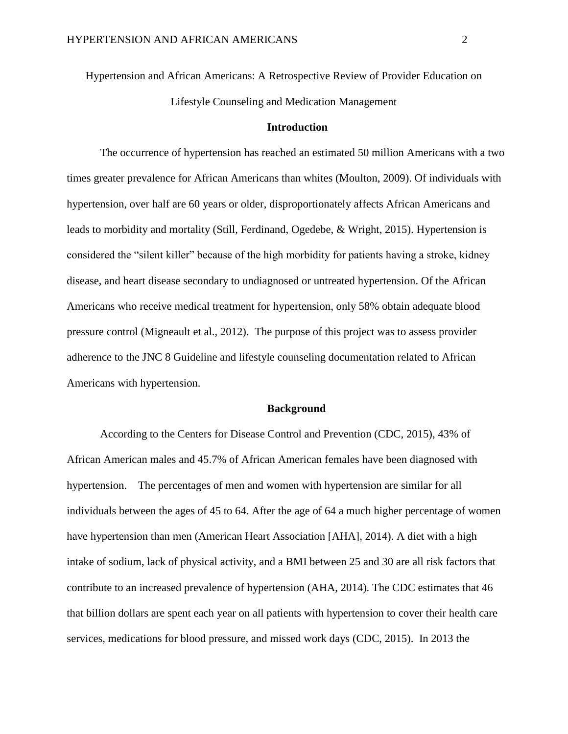Hypertension and African Americans: A Retrospective Review of Provider Education on Lifestyle Counseling and Medication Management

#### **Introduction**

The occurrence of hypertension has reached an estimated 50 million Americans with a two times greater prevalence for African Americans than whites (Moulton, 2009). Of individuals with hypertension, over half are 60 years or older, disproportionately affects African Americans and leads to morbidity and mortality (Still, Ferdinand, Ogedebe, & Wright, 2015). Hypertension is considered the "silent killer" because of the high morbidity for patients having a stroke, kidney disease, and heart disease secondary to undiagnosed or untreated hypertension. Of the African Americans who receive medical treatment for hypertension, only 58% obtain adequate blood pressure control (Migneault et al., 2012). The purpose of this project was to assess provider adherence to the JNC 8 Guideline and lifestyle counseling documentation related to African Americans with hypertension.

#### **Background**

According to the Centers for Disease Control and Prevention (CDC, 2015), 43% of African American males and 45.7% of African American females have been diagnosed with hypertension. The percentages of men and women with hypertension are similar for all individuals between the ages of 45 to 64. After the age of 64 a much higher percentage of women have hypertension than men (American Heart Association [AHA], 2014). A diet with a high intake of sodium, lack of physical activity, and a BMI between 25 and 30 are all risk factors that contribute to an increased prevalence of hypertension (AHA, 2014). The CDC estimates that 46 that billion dollars are spent each year on all patients with hypertension to cover their health care services, medications for blood pressure, and missed work days (CDC, 2015). In 2013 the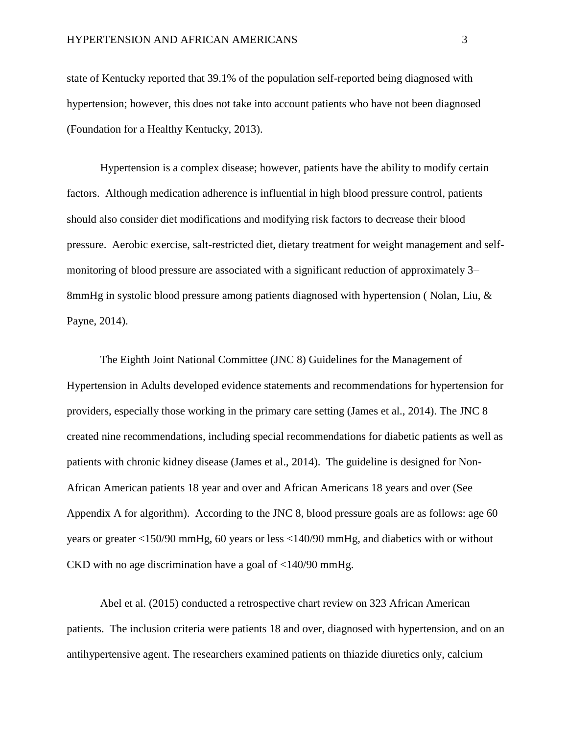state of Kentucky reported that 39.1% of the population self-reported being diagnosed with hypertension; however, this does not take into account patients who have not been diagnosed (Foundation for a Healthy Kentucky, 2013).

Hypertension is a complex disease; however, patients have the ability to modify certain factors. Although medication adherence is influential in high blood pressure control, patients should also consider diet modifications and modifying risk factors to decrease their blood pressure. Aerobic exercise, salt-restricted diet, dietary treatment for weight management and selfmonitoring of blood pressure are associated with a significant reduction of approximately 3– 8mmHg in systolic blood pressure among patients diagnosed with hypertension ( Nolan, Liu, & Payne, 2014).

The Eighth Joint National Committee (JNC 8) Guidelines for the Management of Hypertension in Adults developed evidence statements and recommendations for hypertension for providers, especially those working in the primary care setting (James et al., 2014). The JNC 8 created nine recommendations, including special recommendations for diabetic patients as well as patients with chronic kidney disease (James et al., 2014). The guideline is designed for Non-African American patients 18 year and over and African Americans 18 years and over (See Appendix A for algorithm). According to the JNC 8, blood pressure goals are as follows: age 60 years or greater <150/90 mmHg, 60 years or less <140/90 mmHg, and diabetics with or without CKD with no age discrimination have a goal of <140/90 mmHg.

Abel et al. (2015) conducted a retrospective chart review on 323 African American patients. The inclusion criteria were patients 18 and over, diagnosed with hypertension, and on an antihypertensive agent. The researchers examined patients on thiazide diuretics only, calcium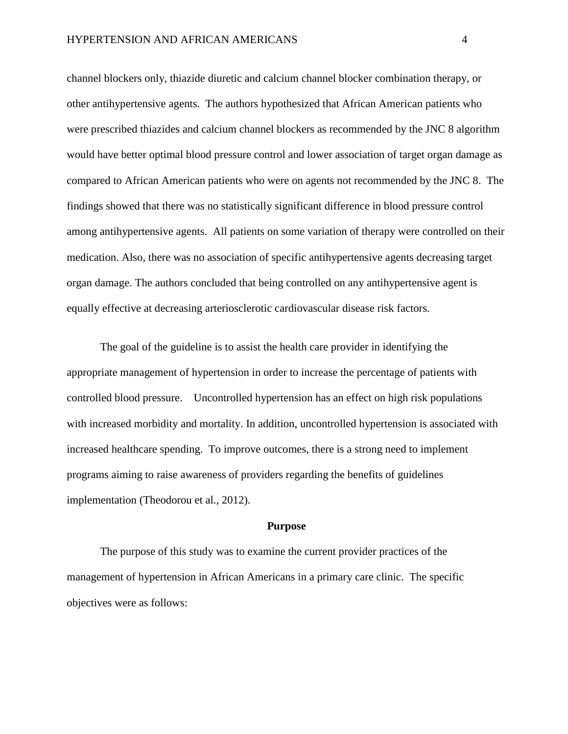channel blockers only, thiazide diuretic and calcium channel blocker combination therapy, or other antihypertensive agents. The authors hypothesized that African American patients who were prescribed thiazides and calcium channel blockers as recommended by the JNC 8 algorithm would have better optimal blood pressure control and lower association of target organ damage as compared to African American patients who were on agents not recommended by the JNC 8. The findings showed that there was no statistically significant difference in blood pressure control among antihypertensive agents. All patients on some variation of therapy were controlled on their medication. Also, there was no association of specific antihypertensive agents decreasing target organ damage. The authors concluded that being controlled on any antihypertensive agent is equally effective at decreasing arteriosclerotic cardiovascular disease risk factors.

The goal of the guideline is to assist the health care provider in identifying the appropriate management of hypertension in order to increase the percentage of patients with controlled blood pressure. Uncontrolled hypertension has an effect on high risk populations with increased morbidity and mortality. In addition, uncontrolled hypertension is associated with increased healthcare spending. To improve outcomes, there is a strong need to implement programs aiming to raise awareness of providers regarding the benefits of guidelines implementation (Theodorou et al., 2012).

#### **Purpose**

The purpose of this study was to examine the current provider practices of the management of hypertension in African Americans in a primary care clinic. The specific objectives were as follows: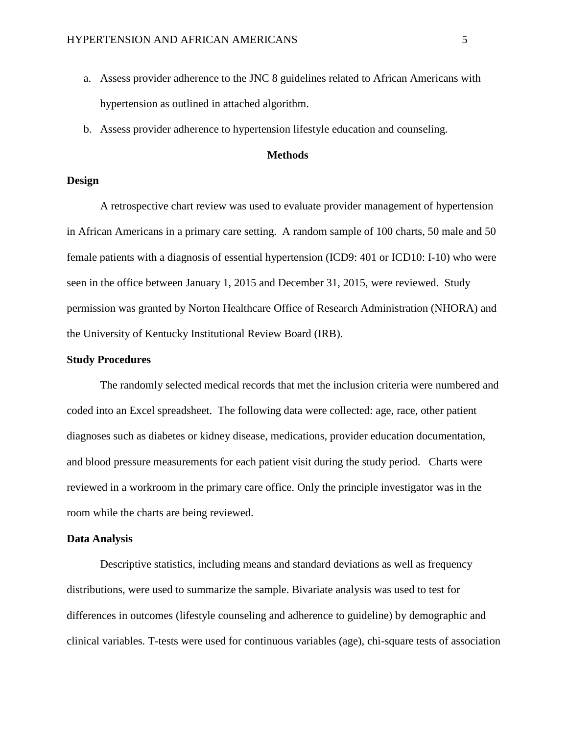- a. Assess provider adherence to the JNC 8 guidelines related to African Americans with hypertension as outlined in attached algorithm.
- b. Assess provider adherence to hypertension lifestyle education and counseling.

### **Methods**

#### **Design**

A retrospective chart review was used to evaluate provider management of hypertension in African Americans in a primary care setting. A random sample of 100 charts, 50 male and 50 female patients with a diagnosis of essential hypertension (ICD9: 401 or ICD10: I-10) who were seen in the office between January 1, 2015 and December 31, 2015, were reviewed. Study permission was granted by Norton Healthcare Office of Research Administration (NHORA) and the University of Kentucky Institutional Review Board (IRB).

#### **Study Procedures**

The randomly selected medical records that met the inclusion criteria were numbered and coded into an Excel spreadsheet. The following data were collected: age, race, other patient diagnoses such as diabetes or kidney disease, medications, provider education documentation, and blood pressure measurements for each patient visit during the study period. Charts were reviewed in a workroom in the primary care office. Only the principle investigator was in the room while the charts are being reviewed.

#### **Data Analysis**

Descriptive statistics, including means and standard deviations as well as frequency distributions, were used to summarize the sample. Bivariate analysis was used to test for differences in outcomes (lifestyle counseling and adherence to guideline) by demographic and clinical variables. T-tests were used for continuous variables (age), chi-square tests of association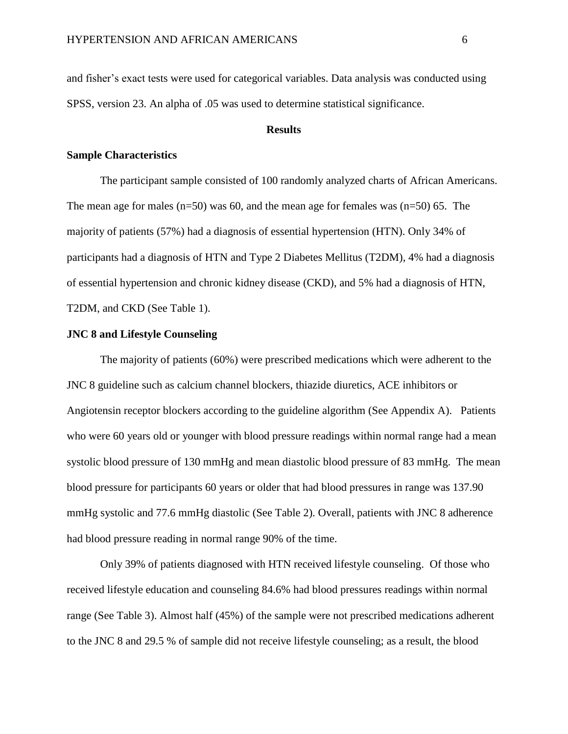and fisher's exact tests were used for categorical variables. Data analysis was conducted using SPSS, version 23. An alpha of .05 was used to determine statistical significance.

#### **Results**

#### **Sample Characteristics**

The participant sample consisted of 100 randomly analyzed charts of African Americans. The mean age for males  $(n=50)$  was 60, and the mean age for females was  $(n=50)$  65. The majority of patients (57%) had a diagnosis of essential hypertension (HTN). Only 34% of participants had a diagnosis of HTN and Type 2 Diabetes Mellitus (T2DM), 4% had a diagnosis of essential hypertension and chronic kidney disease (CKD), and 5% had a diagnosis of HTN, T2DM, and CKD (See Table 1).

#### **JNC 8 and Lifestyle Counseling**

The majority of patients (60%) were prescribed medications which were adherent to the JNC 8 guideline such as calcium channel blockers, thiazide diuretics, ACE inhibitors or Angiotensin receptor blockers according to the guideline algorithm (See Appendix A). Patients who were 60 years old or younger with blood pressure readings within normal range had a mean systolic blood pressure of 130 mmHg and mean diastolic blood pressure of 83 mmHg. The mean blood pressure for participants 60 years or older that had blood pressures in range was 137.90 mmHg systolic and 77.6 mmHg diastolic (See Table 2). Overall, patients with JNC 8 adherence had blood pressure reading in normal range 90% of the time.

Only 39% of patients diagnosed with HTN received lifestyle counseling. Of those who received lifestyle education and counseling 84.6% had blood pressures readings within normal range (See Table 3). Almost half (45%) of the sample were not prescribed medications adherent to the JNC 8 and 29.5 % of sample did not receive lifestyle counseling; as a result, the blood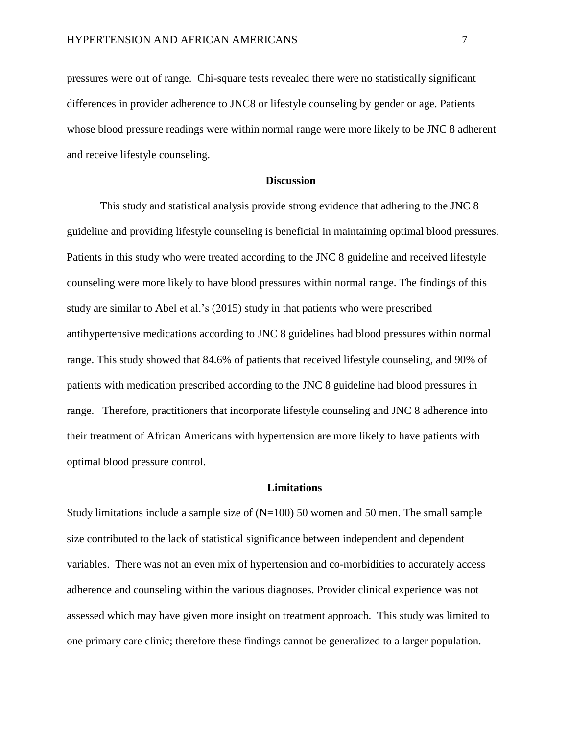pressures were out of range. Chi-square tests revealed there were no statistically significant differences in provider adherence to JNC8 or lifestyle counseling by gender or age. Patients whose blood pressure readings were within normal range were more likely to be JNC 8 adherent and receive lifestyle counseling.

#### **Discussion**

This study and statistical analysis provide strong evidence that adhering to the JNC 8 guideline and providing lifestyle counseling is beneficial in maintaining optimal blood pressures. Patients in this study who were treated according to the JNC 8 guideline and received lifestyle counseling were more likely to have blood pressures within normal range. The findings of this study are similar to Abel et al.'s (2015) study in that patients who were prescribed antihypertensive medications according to JNC 8 guidelines had blood pressures within normal range. This study showed that 84.6% of patients that received lifestyle counseling, and 90% of patients with medication prescribed according to the JNC 8 guideline had blood pressures in range. Therefore, practitioners that incorporate lifestyle counseling and JNC 8 adherence into their treatment of African Americans with hypertension are more likely to have patients with optimal blood pressure control.

#### **Limitations**

Study limitations include a sample size of  $(N=100)$  50 women and 50 men. The small sample size contributed to the lack of statistical significance between independent and dependent variables. There was not an even mix of hypertension and co-morbidities to accurately access adherence and counseling within the various diagnoses. Provider clinical experience was not assessed which may have given more insight on treatment approach. This study was limited to one primary care clinic; therefore these findings cannot be generalized to a larger population.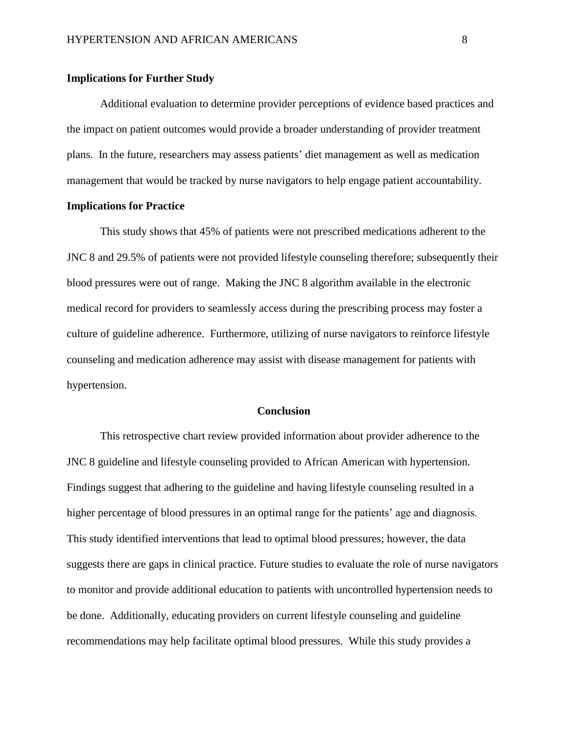#### **Implications for Further Study**

 Additional evaluation to determine provider perceptions of evidence based practices and the impact on patient outcomes would provide a broader understanding of provider treatment plans. In the future, researchers may assess patients' diet management as well as medication management that would be tracked by nurse navigators to help engage patient accountability.

#### **Implications for Practice**

This study shows that 45% of patients were not prescribed medications adherent to the JNC 8 and 29.5% of patients were not provided lifestyle counseling therefore; subsequently their blood pressures were out of range. Making the JNC 8 algorithm available in the electronic medical record for providers to seamlessly access during the prescribing process may foster a culture of guideline adherence. Furthermore, utilizing of nurse navigators to reinforce lifestyle counseling and medication adherence may assist with disease management for patients with hypertension.

#### **Conclusion**

This retrospective chart review provided information about provider adherence to the JNC 8 guideline and lifestyle counseling provided to African American with hypertension. Findings suggest that adhering to the guideline and having lifestyle counseling resulted in a higher percentage of blood pressures in an optimal range for the patients' age and diagnosis. This study identified interventions that lead to optimal blood pressures; however, the data suggests there are gaps in clinical practice. Future studies to evaluate the role of nurse navigators to monitor and provide additional education to patients with uncontrolled hypertension needs to be done. Additionally, educating providers on current lifestyle counseling and guideline recommendations may help facilitate optimal blood pressures. While this study provides a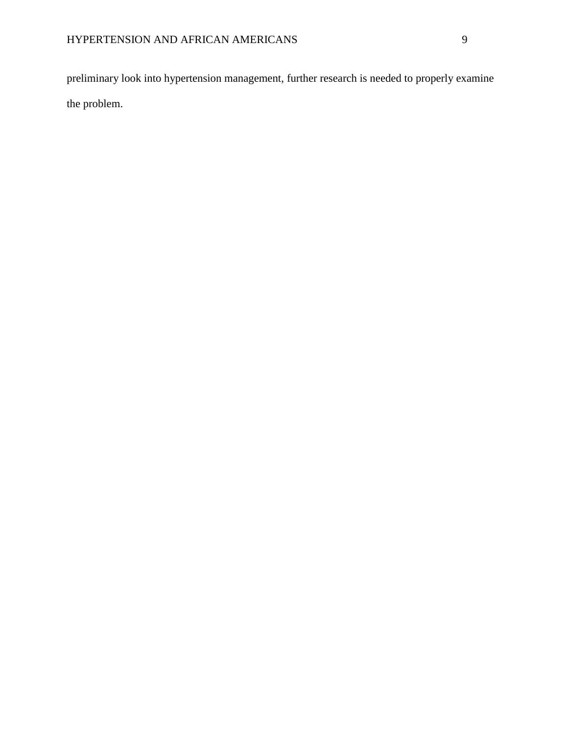preliminary look into hypertension management, further research is needed to properly examine the problem.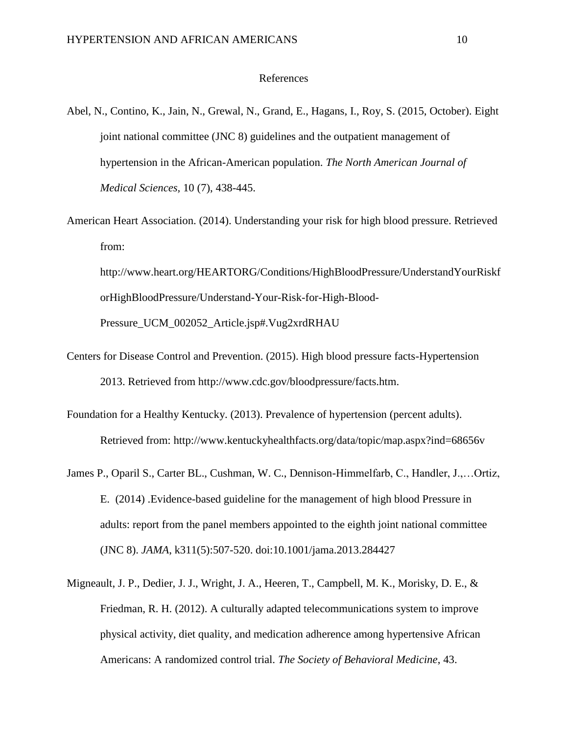#### References

- Abel, N., Contino, K., Jain, N., Grewal, N., Grand, E., Hagans, I., Roy, S. (2015, October). Eight joint national committee (JNC 8) guidelines and the outpatient management of hypertension in the African-American population. *The North American Journal of Medical Sciences,* 10 (7), 438-445.
- American Heart Association. (2014). Understanding your risk for high blood pressure. Retrieved from:

http://www.heart.org/HEARTORG/Conditions/HighBloodPressure/UnderstandYourRiskf orHighBloodPressure/Understand-Your-Risk-for-High-Blood-Pressure\_UCM\_002052\_Article.jsp#.Vug2xrdRHAU

- Centers for Disease Control and Prevention. (2015). High blood pressure facts-Hypertension 2013. Retrieved from http://www.cdc.gov/bloodpressure/facts.htm.
- Foundation for a Healthy Kentucky. (2013). Prevalence of hypertension (percent adults). Retrieved from: http://www.kentuckyhealthfacts.org/data/topic/map.aspx?ind=68656v
- James P., Oparil S., Carter BL., Cushman, W. C., Dennison-Himmelfarb, C., Handler, J.,…Ortiz, E. (2014) .Evidence-based guideline for the management of high blood Pressure in adults: report from the panel members appointed to the eighth joint national committee (JNC 8). *JAMA*, k311(5):507-520. doi:10.1001/jama.2013.284427
- Migneault, J. P., Dedier, J. J., Wright, J. A., Heeren, T., Campbell, M. K., Morisky, D. E., & Friedman, R. H. (2012). A culturally adapted telecommunications system to improve physical activity, diet quality, and medication adherence among hypertensive African Americans: A randomized control trial. *The Society of Behavioral Medicine*, 43.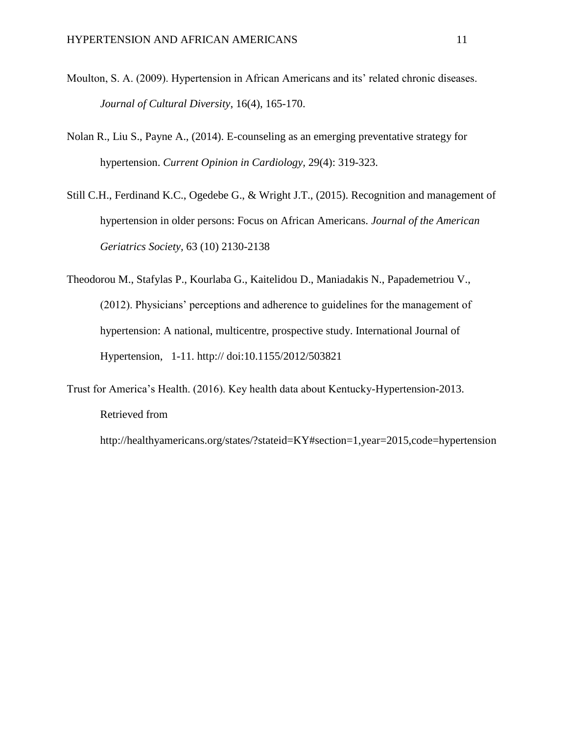- Moulton, S. A. (2009). Hypertension in African Americans and its' related chronic diseases. *Journal of Cultural Diversity*, 16(4), 165-170.
- Nolan R., Liu S., Payne A., (2014). E-counseling as an emerging preventative strategy for hypertension. *Current Opinion in Cardiology,* 29(4): 319-323.
- Still C.H., Ferdinand K.C., Ogedebe G., & Wright J.T., (2015). Recognition and management of hypertension in older persons: Focus on African Americans. *Journal of the American Geriatrics Society,* 63 (10) 2130-2138
- Theodorou M., Stafylas P., Kourlaba G., Kaitelidou D., Maniadakis N., Papademetriou V., (2012). Physicians' perceptions and adherence to guidelines for the management of hypertension: A national, multicentre, prospective study. International Journal of Hypertension, 1-11. http:// doi:10.1155/2012/503821
- Trust for America's Health. (2016). Key health data about Kentucky-Hypertension-2013. Retrieved from

http://healthyamericans.org/states/?stateid=KY#section=1,year=2015,code=hypertension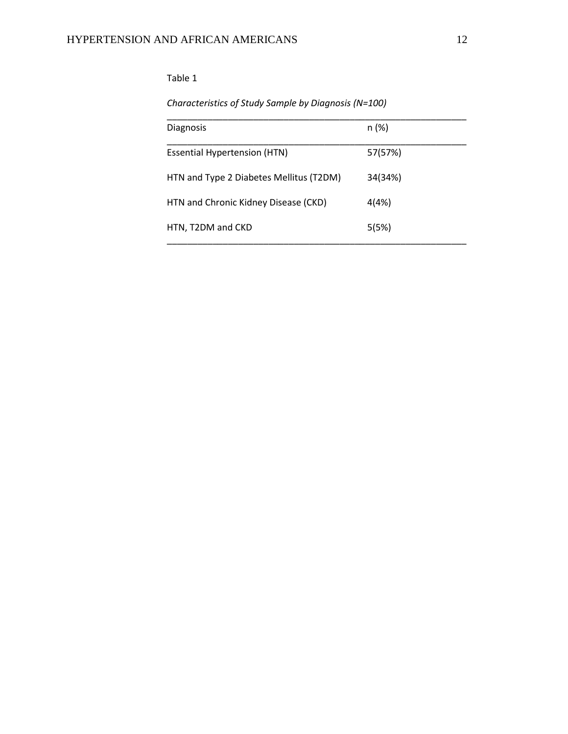# *Characteristics of Study Sample by Diagnosis (N=100)*

| <b>Diagnosis</b>                        | n (%)   |
|-----------------------------------------|---------|
| <b>Essential Hypertension (HTN)</b>     | 57(57%) |
| HTN and Type 2 Diabetes Mellitus (T2DM) | 34(34%) |
| HTN and Chronic Kidney Disease (CKD)    | 4(4%)   |
| HTN, T2DM and CKD                       | 5(5%)   |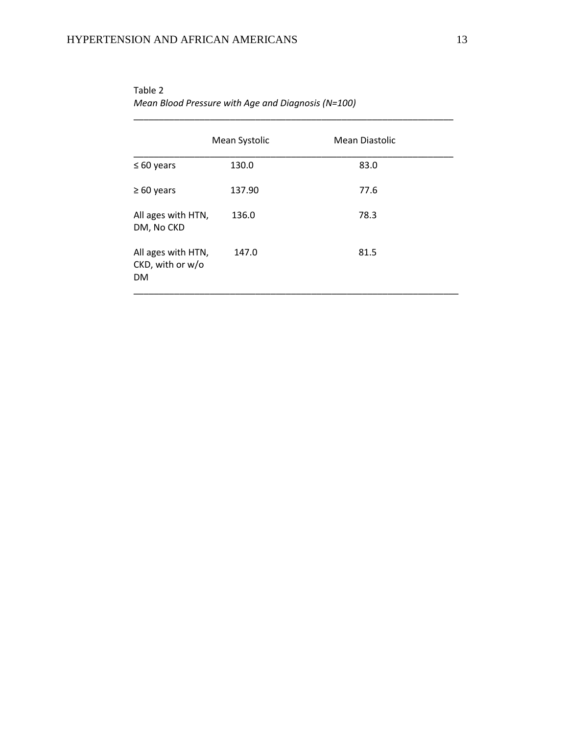|                                                     | Mean Systolic | Mean Diastolic |
|-----------------------------------------------------|---------------|----------------|
| $\leq 60$ years                                     | 130.0         | 83.0           |
| $\geq 60$ years                                     | 137.90        | 77.6           |
| All ages with HTN,<br>DM, No CKD                    | 136.0         | 78.3           |
| All ages with HTN,<br>CKD, with or w/o<br><b>DM</b> | 147.0         | 81.5           |

Table 2 *Mean Blood Pressure with Age and Diagnosis (N=100)*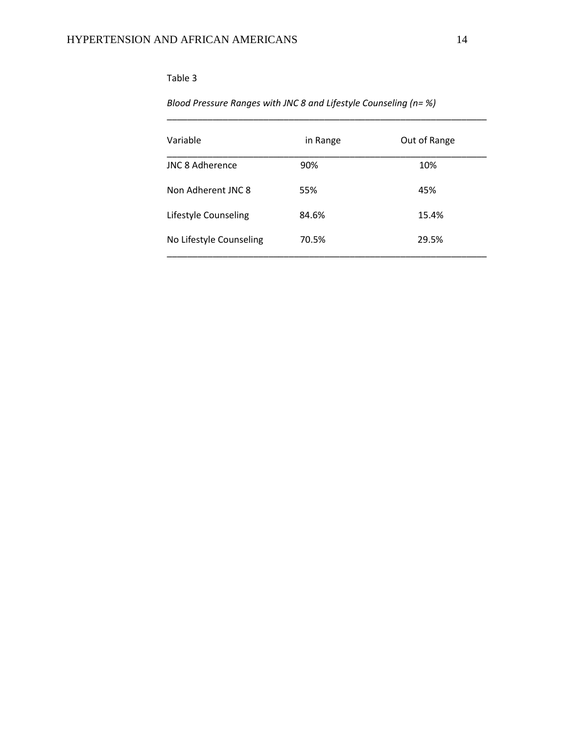# *Blood Pressure Ranges with JNC 8 and Lifestyle Counseling (n= %)*

| Variable                | in Range | Out of Range |
|-------------------------|----------|--------------|
| <b>JNC 8 Adherence</b>  | 90%      | 10%          |
| Non Adherent JNC 8      | 55%      | 45%          |
| Lifestyle Counseling    | 84.6%    | 15.4%        |
| No Lifestyle Counseling | 70.5%    | 29.5%        |

\_\_\_\_\_\_\_\_\_\_\_\_\_\_\_\_\_\_\_\_\_\_\_\_\_\_\_\_\_\_\_\_\_\_\_\_\_\_\_\_\_\_\_\_\_\_\_\_\_\_\_\_\_\_\_\_\_\_\_\_\_\_\_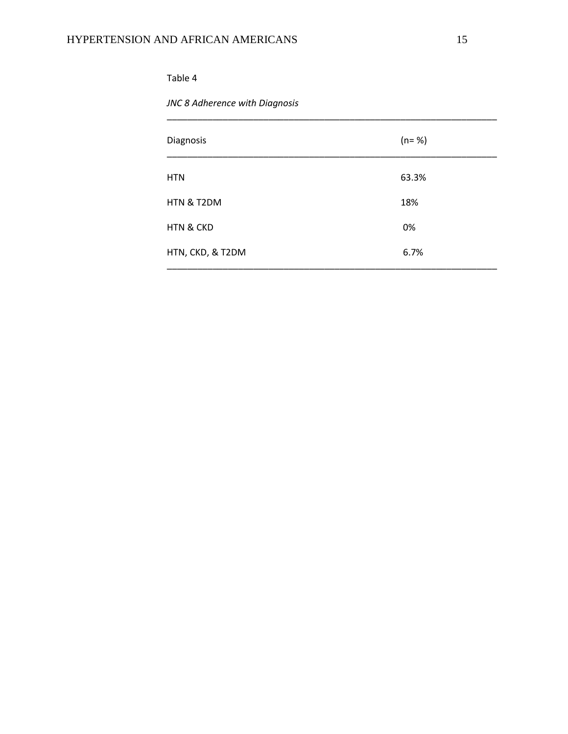*JNC 8 Adherence with Diagnosis*

| Diagnosis            | $(n = %)$ |
|----------------------|-----------|
| <b>HTN</b>           | 63.3%     |
| HTN & T2DM           | 18%       |
| <b>HTN &amp; CKD</b> | 0%        |
| HTN, CKD, & T2DM     | 6.7%      |

\_\_\_\_\_\_\_\_\_\_\_\_\_\_\_\_\_\_\_\_\_\_\_\_\_\_\_\_\_\_\_\_\_\_\_\_\_\_\_\_\_\_\_\_\_\_\_\_\_\_\_\_\_\_\_\_\_\_\_\_\_\_\_\_\_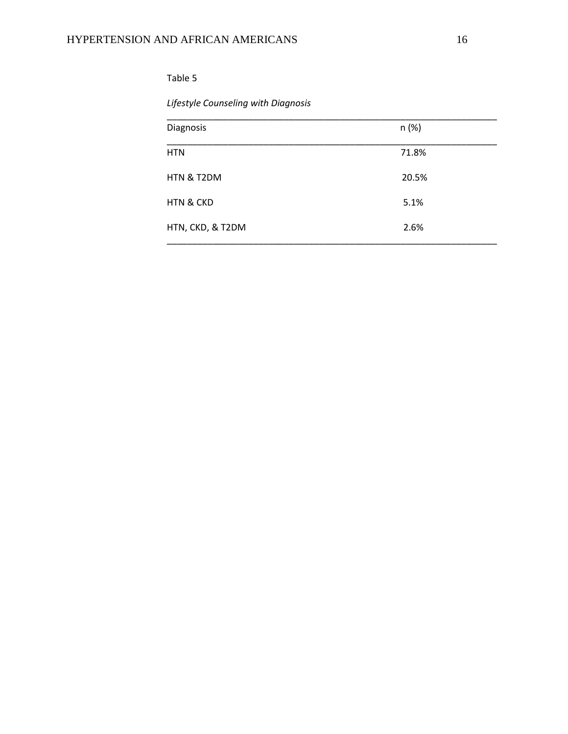# *Lifestyle Counseling with Diagnosis*

| Diagnosis            | n (%) |
|----------------------|-------|
| <b>HTN</b>           | 71.8% |
| HTN & T2DM           | 20.5% |
| <b>HTN &amp; CKD</b> | 5.1%  |
| HTN, CKD, & T2DM     | 2.6%  |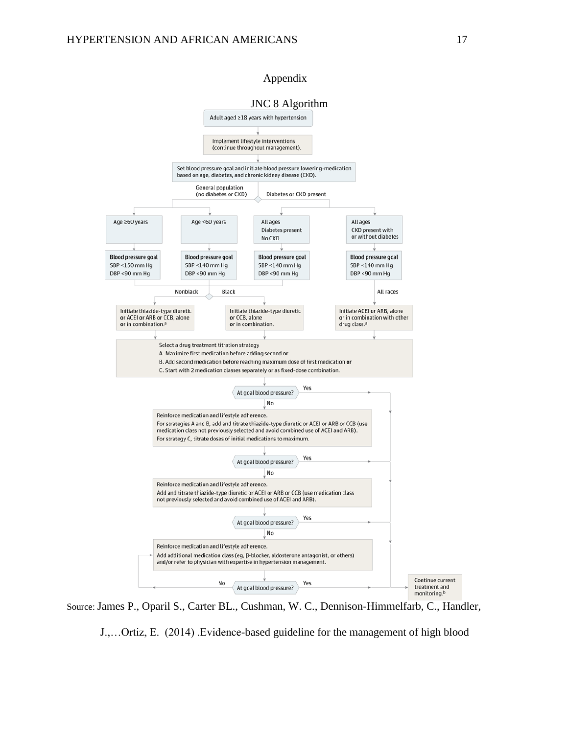#### Appendix



Source: James P., Oparil S., Carter BL., Cushman, W. C., Dennison-Himmelfarb, C., Handler,

J.,…Ortiz, E. (2014) .Evidence-based guideline for the management of high blood